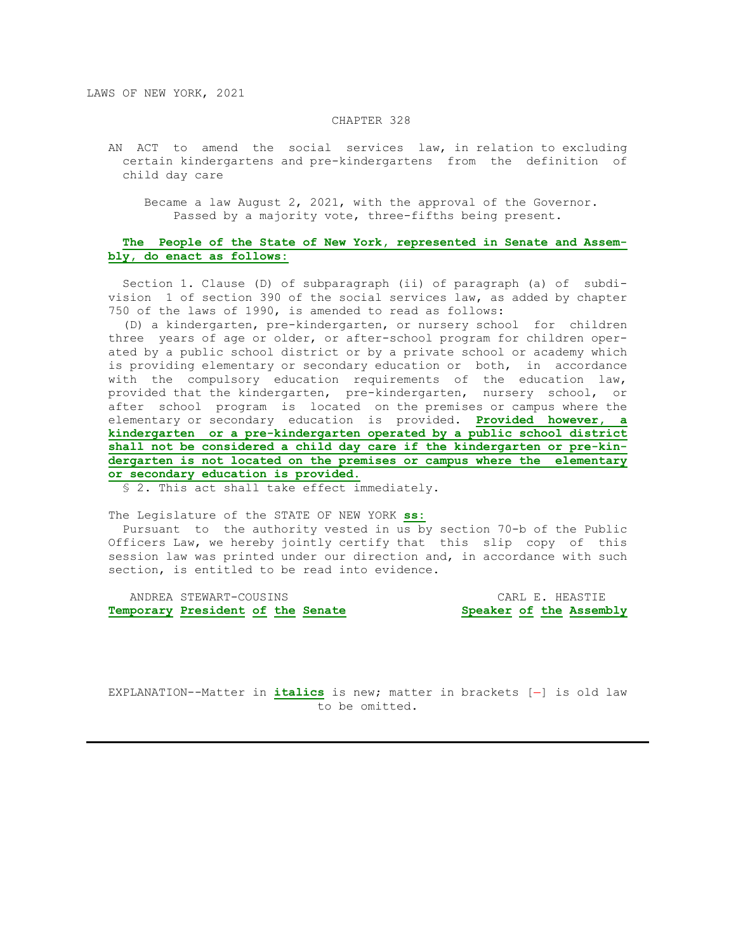#### CHAPTER 328

 AN ACT to amend the social services law, in relation to excluding certain kindergartens and pre-kindergartens from the definition of child day care

 Became a law August 2, 2021, with the approval of the Governor. Passed by a majority vote, three-fifths being present.

# **The People of the State of New York, represented in Senate and Assem bly, do enact as follows:**

 Section 1. Clause (D) of subparagraph (ii) of paragraph (a) of subdi vision 1 of section 390 of the social services law, as added by chapter 750 of the laws of 1990, is amended to read as follows:

 (D) a kindergarten, pre-kindergarten, or nursery school for children three years of age or older, or after-school program for children oper ated by a public school district or by a private school or academy which is providing elementary or secondary education or both, in accordance with the compulsory education requirements of the education law, provided that the kindergarten, pre-kindergarten, nursery school, or after school program is located on the premises or campus where the elementary or secondary education is provided. **Provided however, a kindergarten or a pre-kindergarten operated by a public school district shall not be considered a child day care if the kindergarten or pre-kin dergarten is not located on the premises or campus where the elementary or secondary education is provided.**

§ 2. This act shall take effect immediately.

The Legislature of the STATE OF NEW YORK **ss:**

 Pursuant to the authority vested in us by section 70-b of the Public Officers Law, we hereby jointly certify that this slip copy of this session law was printed under our direction and, in accordance with such section, is entitled to be read into evidence.

 ANDREA STEWART-COUSINS CARL E. HEASTIE **Temporary President of the Senate Speaker of the Assembly**

EXPLANATION--Matter in *italics* is new; matter in brackets [-] is old law to be omitted.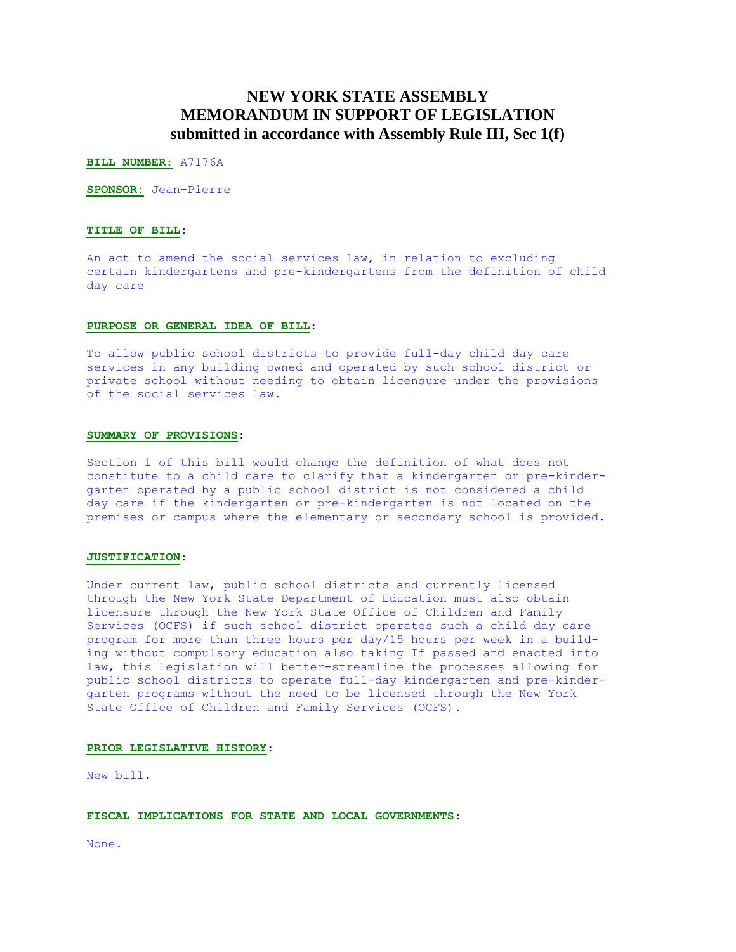# **NEW YORK STATE ASSEMBLY MEMORANDUM IN SUPPORT OF LEGISLATION submitted in accordance with Assembly Rule III, Sec 1(f)**

**BILL NUMBER:** A7176A

**SPONSOR:** Jean-Pierre

## **TITLE OF BILL**:

An act to amend the social services law, in relation to excluding certain kindergartens and pre-kindergartens from the definition of child day care

#### **PURPOSE OR GENERAL IDEA OF BILL**:

To allow public school districts to provide full-day child day care services in any building owned and operated by such school district or private school without needing to obtain licensure under the provisions of the social services law.

### **SUMMARY OF PROVISIONS**:

Section 1 of this bill would change the definition of what does not constitute to a child care to clarify that a kindergarten or pre-kindergarten operated by a public school district is not considered a child day care if the kindergarten or pre-kindergarten is not located on the premises or campus where the elementary or secondary school is provided.

# **JUSTIFICATION**:

Under current law, public school districts and currently licensed through the New York State Department of Education must also obtain licensure through the New York State Office of Children and Family Services (OCFS) if such school district operates such a child day care program for more than three hours per day/15 hours per week in a building without compulsory education also taking If passed and enacted into law, this legislation will better-streamline the processes allowing for public school districts to operate full-day kindergarten and pre-kindergarten programs without the need to be licensed through the New York State Office of Children and Family Services (OCFS).

#### **PRIOR LEGISLATIVE HISTORY**:

New bill.

#### **FISCAL IMPLICATIONS FOR STATE AND LOCAL GOVERNMENTS**:

None.